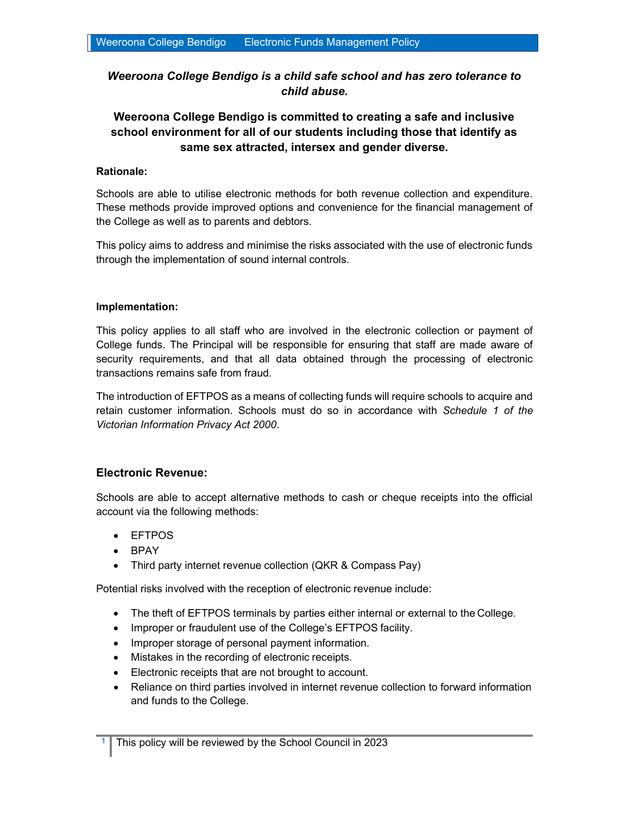# Weeroona College Bendigo is a child safe school and has zero tolerance to child abuse.

# Weeroona College Bendigo is committed to creating a safe and inclusive school environment for all of our students including those that identify as same sex attracted, intersex and gender diverse.

## Rationale:

Schools are able to utilise electronic methods for both revenue collection and expenditure. These methods provide improved options and convenience for the financial management of the College as well as to parents and debtors.

This policy aims to address and minimise the risks associated with the use of electronic funds through the implementation of sound internal controls.

## Implementation:

This policy applies to all staff who are involved in the electronic collection or payment of College funds. The Principal will be responsible for ensuring that staff are made aware of security requirements, and that all data obtained through the processing of electronic transactions remains safe from fraud.

The introduction of EFTPOS as a means of collecting funds will require schools to acquire and retain customer information. Schools must do so in accordance with Schedule 1 of the Victorian Information Privacy Act 2000.

# Electronic Revenue:

Schools are able to accept alternative methods to cash or cheque receipts into the official account via the following methods:

- EFTPOS
- BPAY
- Third party internet revenue collection (QKR & Compass Pay)

Potential risks involved with the reception of electronic revenue include:

- The theft of EFTPOS terminals by parties either internal or external to the College.
- Improper or fraudulent use of the College's EFTPOS facility.
- Improper storage of personal payment information.
- Mistakes in the recording of electronic receipts.
- Electronic receipts that are not brought to account.
- Reliance on third parties involved in internet revenue collection to forward information and funds to the College.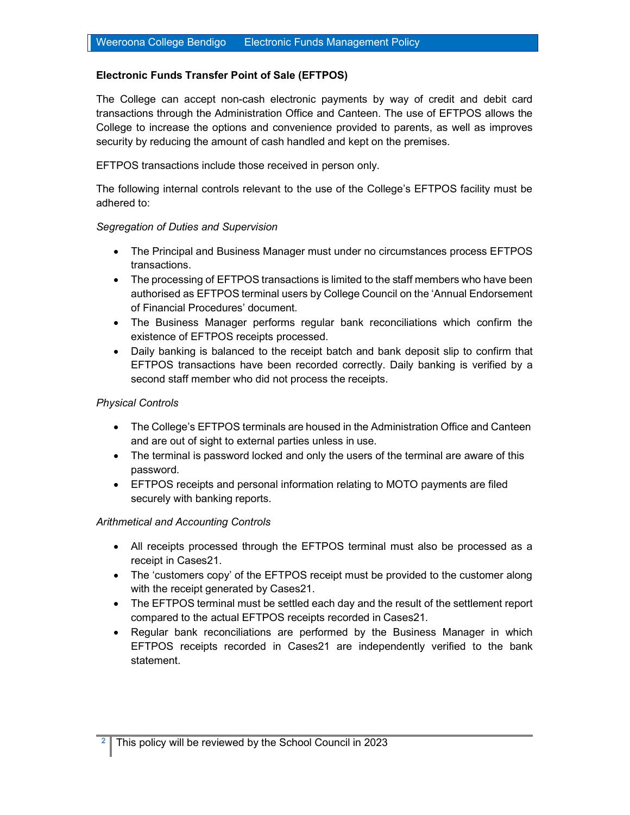## Electronic Funds Transfer Point of Sale (EFTPOS)

The College can accept non-cash electronic payments by way of credit and debit card transactions through the Administration Office and Canteen. The use of EFTPOS allows the College to increase the options and convenience provided to parents, as well as improves security by reducing the amount of cash handled and kept on the premises.

## EFTPOS transactions include those received in person only.

The following internal controls relevant to the use of the College's EFTPOS facility must be adhered to:

#### Segregation of Duties and Supervision

- The Principal and Business Manager must under no circumstances process EFTPOS transactions.
- The processing of EFTPOS transactions is limited to the staff members who have been authorised as EFTPOS terminal users by College Council on the 'Annual Endorsement of Financial Procedures' document.
- The Business Manager performs regular bank reconciliations which confirm the existence of EFTPOS receipts processed.
- Daily banking is balanced to the receipt batch and bank deposit slip to confirm that EFTPOS transactions have been recorded correctly. Daily banking is verified by a second staff member who did not process the receipts.

#### Physical Controls

- The College's EFTPOS terminals are housed in the Administration Office and Canteen and are out of sight to external parties unless in use.
- The terminal is password locked and only the users of the terminal are aware of this password.
- EFTPOS receipts and personal information relating to MOTO payments are filed securely with banking reports.

#### Arithmetical and Accounting Controls

- All receipts processed through the EFTPOS terminal must also be processed as a receipt in Cases21.
- The 'customers copy' of the EFTPOS receipt must be provided to the customer along with the receipt generated by Cases21.
- The EFTPOS terminal must be settled each day and the result of the settlement report compared to the actual EFTPOS receipts recorded in Cases21.
- Regular bank reconciliations are performed by the Business Manager in which EFTPOS receipts recorded in Cases21 are independently verified to the bank statement.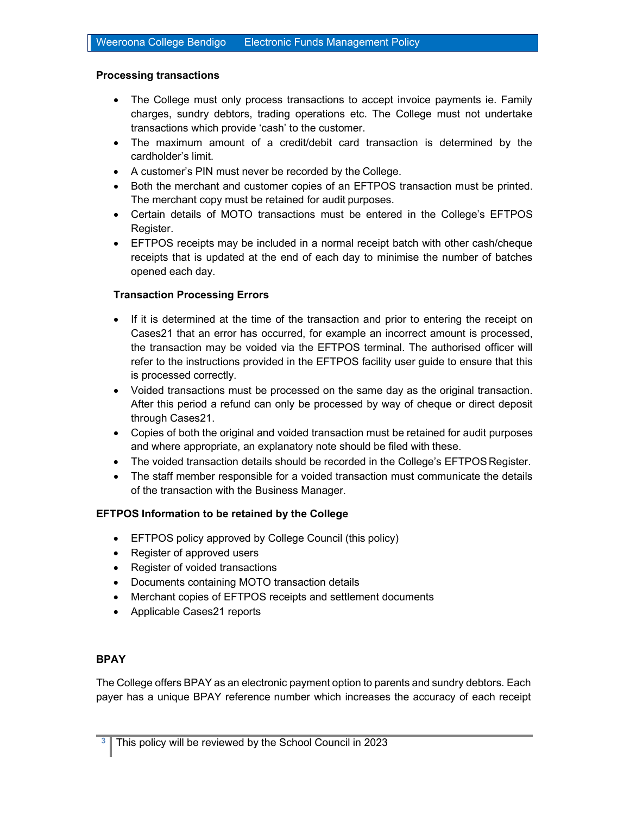#### Processing transactions

- The College must only process transactions to accept invoice payments ie. Family charges, sundry debtors, trading operations etc. The College must not undertake transactions which provide 'cash' to the customer.
- The maximum amount of a credit/debit card transaction is determined by the cardholder's limit.
- A customer's PIN must never be recorded by the College.
- Both the merchant and customer copies of an EFTPOS transaction must be printed. The merchant copy must be retained for audit purposes.
- Certain details of MOTO transactions must be entered in the College's EFTPOS Register.
- EFTPOS receipts may be included in a normal receipt batch with other cash/cheque receipts that is updated at the end of each day to minimise the number of batches opened each day.

## Transaction Processing Errors

- If it is determined at the time of the transaction and prior to entering the receipt on Cases21 that an error has occurred, for example an incorrect amount is processed, the transaction may be voided via the EFTPOS terminal. The authorised officer will refer to the instructions provided in the EFTPOS facility user guide to ensure that this is processed correctly.
- Voided transactions must be processed on the same day as the original transaction. After this period a refund can only be processed by way of cheque or direct deposit through Cases21.
- Copies of both the original and voided transaction must be retained for audit purposes and where appropriate, an explanatory note should be filed with these.
- The voided transaction details should be recorded in the College's EFTPOS Register.
- The staff member responsible for a voided transaction must communicate the details of the transaction with the Business Manager.

## EFTPOS Information to be retained by the College

- EFTPOS policy approved by College Council (this policy)
- Register of approved users
- Register of voided transactions
- Documents containing MOTO transaction details
- Merchant copies of EFTPOS receipts and settlement documents
- Applicable Cases21 reports

## BPAY

The College offers BPAY as an electronic payment option to parents and sundry debtors. Each payer has a unique BPAY reference number which increases the accuracy of each receipt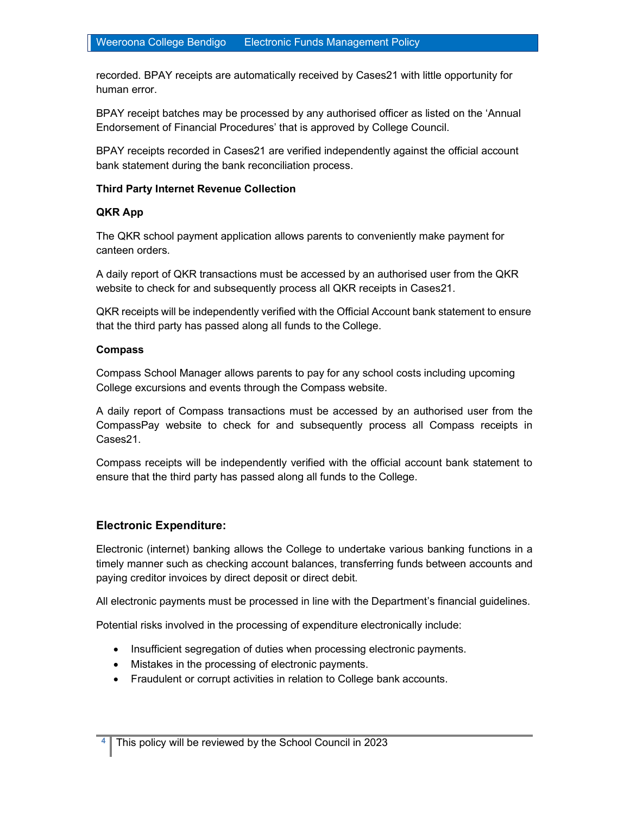recorded. BPAY receipts are automatically received by Cases21 with little opportunity for human error.

BPAY receipt batches may be processed by any authorised officer as listed on the 'Annual Endorsement of Financial Procedures' that is approved by College Council.

BPAY receipts recorded in Cases21 are verified independently against the official account bank statement during the bank reconciliation process.

#### Third Party Internet Revenue Collection

## QKR App

The QKR school payment application allows parents to conveniently make payment for canteen orders.

A daily report of QKR transactions must be accessed by an authorised user from the QKR website to check for and subsequently process all QKR receipts in Cases21.

QKR receipts will be independently verified with the Official Account bank statement to ensure that the third party has passed along all funds to the College.

#### Compass

Compass School Manager allows parents to pay for any school costs including upcoming College excursions and events through the Compass website.

A daily report of Compass transactions must be accessed by an authorised user from the CompassPay website to check for and subsequently process all Compass receipts in Cases21.

Compass receipts will be independently verified with the official account bank statement to ensure that the third party has passed along all funds to the College.

# Electronic Expenditure:

Electronic (internet) banking allows the College to undertake various banking functions in a timely manner such as checking account balances, transferring funds between accounts and paying creditor invoices by direct deposit or direct debit.

All electronic payments must be processed in line with the Department's financial guidelines.

Potential risks involved in the processing of expenditure electronically include:

- Insufficient segregation of duties when processing electronic payments.
- Mistakes in the processing of electronic payments.
- Fraudulent or corrupt activities in relation to College bank accounts.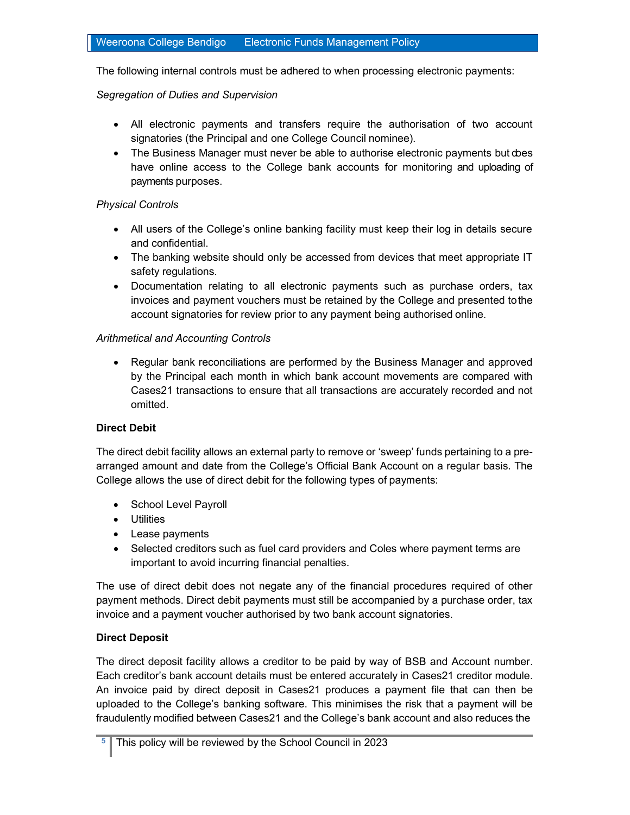The following internal controls must be adhered to when processing electronic payments:

## Segregation of Duties and Supervision

- All electronic payments and transfers require the authorisation of two account signatories (the Principal and one College Council nominee).
- The Business Manager must never be able to authorise electronic payments but does have online access to the College bank accounts for monitoring and uploading of payments purposes.

## Physical Controls

- All users of the College's online banking facility must keep their log in details secure and confidential.
- The banking website should only be accessed from devices that meet appropriate IT safety regulations.
- Documentation relating to all electronic payments such as purchase orders, tax invoices and payment vouchers must be retained by the College and presented to the account signatories for review prior to any payment being authorised online.

## Arithmetical and Accounting Controls

 Regular bank reconciliations are performed by the Business Manager and approved by the Principal each month in which bank account movements are compared with Cases21 transactions to ensure that all transactions are accurately recorded and not omitted.

## Direct Debit

The direct debit facility allows an external party to remove or 'sweep' funds pertaining to a prearranged amount and date from the College's Official Bank Account on a regular basis. The College allows the use of direct debit for the following types of payments:

- School Level Payroll
- **•** Utilities
- Lease payments
- Selected creditors such as fuel card providers and Coles where payment terms are important to avoid incurring financial penalties.

The use of direct debit does not negate any of the financial procedures required of other payment methods. Direct debit payments must still be accompanied by a purchase order, tax invoice and a payment voucher authorised by two bank account signatories.

## Direct Deposit

The direct deposit facility allows a creditor to be paid by way of BSB and Account number. Each creditor's bank account details must be entered accurately in Cases21 creditor module. An invoice paid by direct deposit in Cases21 produces a payment file that can then be uploaded to the College's banking software. This minimises the risk that a payment will be fraudulently modified between Cases21 and the College's bank account and also reduces the